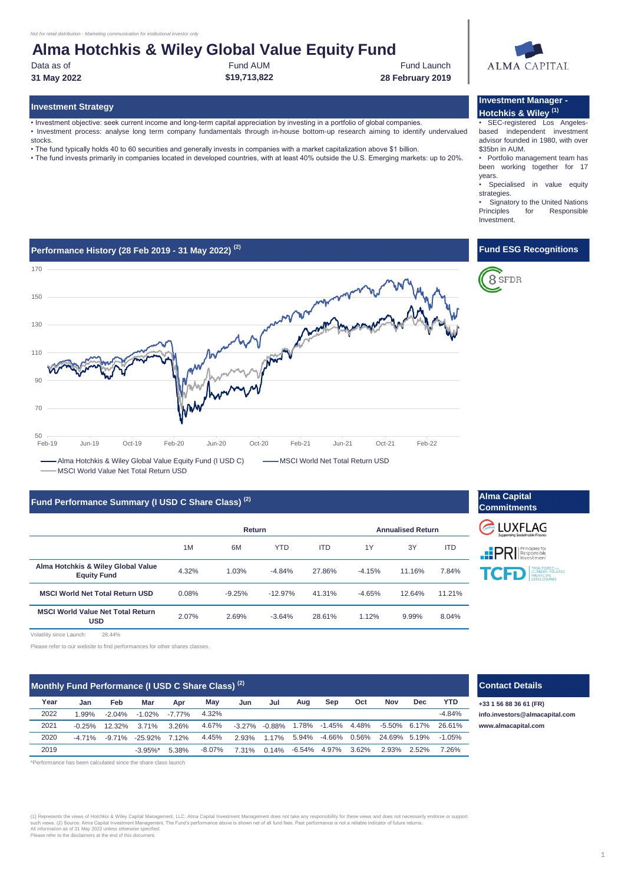## **Alma Hotchkis & Wiley Global Value Equity Fund**

Data as of **Fund AUM** Fund AUM Fund AUM **Fund Launch 31 May 2022 \$19,713,822 28 February 2019**

### **Investment Strategy**

• Investment objective: seek current income and long-term capital appreciation by investing in a portfolio of global companies. • Investment process: analyse long term company fundamentals through in-house bottom-up research aiming to identify undervalued stocks.

- The fund typically holds 40 to 60 securities and generally invests in companies with a market capitalization above \$1 billion.
- The fund invests primarily in companies located in developed countries, with at least 40% outside the U.S. Emerging markets: up to 20%.

## **Performance History (28 Feb 2019 - 31 May 2022) (2)**



- Alma Hotchkis & Wiley Global Value Equity Fund (I USD C)  $\overline{\hspace{1cm}}$  MSCI World Net Total Return USD MSCI World Value Net Total Return USD

### **Fund Performance Summary (I USD C Share Class)<sup>(2)</sup>**

|                                                          | Return |          |            |            | <b>Annualised Return</b> |        |            |  |
|----------------------------------------------------------|--------|----------|------------|------------|--------------------------|--------|------------|--|
|                                                          | 1M     | 6M       | <b>YTD</b> | <b>ITD</b> | 1Y                       | 3Y     | <b>ITD</b> |  |
| Alma Hotchkis & Wiley Global Value<br><b>Equity Fund</b> | 4.32%  | 1.03%    | $-4.84%$   | 27.86%     | $-4.15%$                 | 11.16% | 7.84%      |  |
| <b>MSCI World Net Total Return USD</b>                   | 0.08%  | $-9.25%$ | $-12.97%$  | 41.31%     | $-4.65%$                 | 12.64% | 11.21%     |  |
| <b>MSCI World Value Net Total Return</b><br><b>USD</b>   | 2.07%  | 2.69%    | $-3.64%$   | 28.61%     | 1.12%                    | 9.99%  | 8.04%      |  |

Volatility since Launch: 28.44%

Please refer to our website to find performances for other shares classes.

| Monthly Fund Performance (I USD C Share Class) <sup>(2)</sup> |          |          |             |           |           |       |                   | <b>Contact Details</b> |              |       |                 |            |            |                       |
|---------------------------------------------------------------|----------|----------|-------------|-----------|-----------|-------|-------------------|------------------------|--------------|-------|-----------------|------------|------------|-----------------------|
| Year                                                          | Jan      | Feb      | Mar         | Apr       | Mav       | Jun   | Jul               | Aug                    | Sep          | Oct   | Nov             | <b>Dec</b> | <b>YTD</b> | +33 1 56 88 36 61 (FF |
| 2022                                                          | 1.99%    | $-2.04%$ | $-1.02\%$   | $-7.77\%$ | 4.32%     |       |                   |                        |              |       |                 |            | $-4.84%$   | info.investors@alma   |
| 2021                                                          | $-0.25%$ | 12.32%   | $3.71\%$    | 3.26%     | 4.67%     |       | $-3.27\% -0.88\%$ |                        | 1.78% -1.45% | 4.48% | $-5.50\%$ 6.17% |            | 26.61%     | www.almacapital.cor   |
| 2020                                                          | $-471%$  | $-9.71%$ | $-25.92\%$  | 7.12%     | 4.45%     | 2.93% | 1.17%             | 5.94%                  | -4.66%       | 0.56% | 24.69% 5.19%    |            | $-1.05\%$  |                       |
| 2019                                                          |          |          | $-3.95\%$ * | 5.38%     | $-8.07\%$ | 7.31% | $0.14\%$          | -6.54%                 | 4.97%        | 3.62% | 2.93%           | $2.52\%$   | 7.26%      |                       |

\*Performance has been calculated since the share class launch

(1) Represents the views of Hotchkis & Wiley Capital Management, LLC. Alma Capital Investment Management does not take any responsibility for these views and does not necessarily endorse or suppor<br>All information as of 31



### **Investment Manager - Hotchkis & Wiley (1)**

• SEC-registered Los Angelesbased independent investment advisor founded in 1980, with over \$35bn in AUM.

• Portfolio management team has been working together for 17 years.

Specialised in value equity strategies.

• Signatory to the United Nations<br>Principles for Responsible Responsible **Investment** 

### **Fund ESG Recognitions**



| <b>Alma Capital</b><br><b>Commitments</b>          |
|----------------------------------------------------|
| <b>E</b> LUXFLAG<br>Supporting Sustainable Finance |
| <b>PRI</b> Responsible                             |
| <b>TCFD</b> EMATE-RELATED<br><b>CLOSURES</b>       |

1.99% -2.04% -1.02% -7.77% **[info.investors@almacapital.com](mailto:info.investors@almacapital.com)** 2021 4.67% 1.78% -1.45% 4.48% 26.61% **[www.](http://www.almacapital.com/)almacapital.com +33 1 56 88 36 61 (FR)**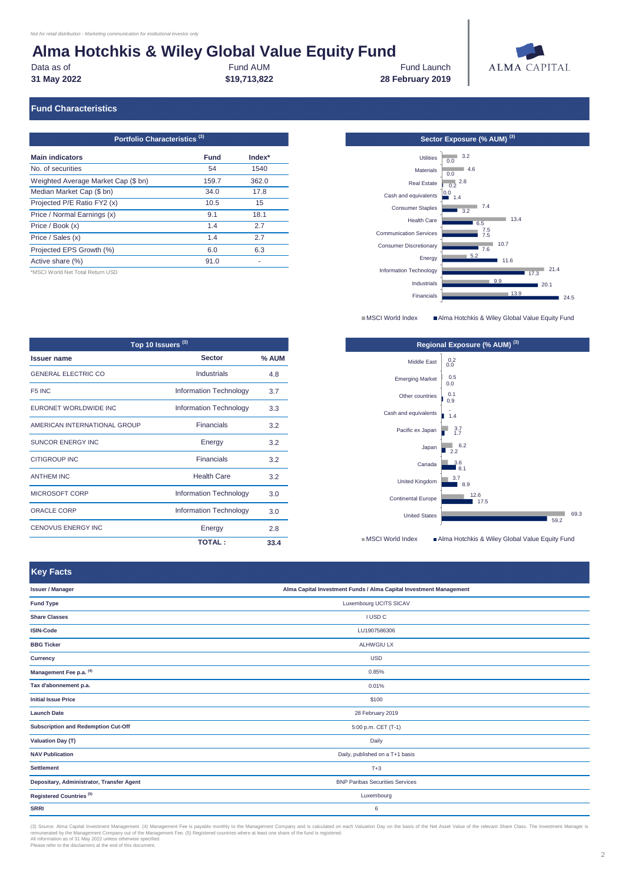# **Alma Hotchkis & Wiley Global Value Equity Fund<br>Data as of<br>Fund AUM**

**31 May 2022 \$19,713,822**

**28 February 2019 Fund Launch** 



### **Fund Characteristics**

| Portfolio Characteristics <sup>(3)</sup> |             |          |  |  |  |  |
|------------------------------------------|-------------|----------|--|--|--|--|
| <b>Main indicators</b>                   | <b>Fund</b> | $Index*$ |  |  |  |  |
| No. of securities                        | 54          | 1540     |  |  |  |  |
| Weighted Average Market Cap (\$ bn)      | 159.7       | 362.0    |  |  |  |  |
| Median Market Cap (\$ bn)                | 34.0        | 17.8     |  |  |  |  |
| Projected P/E Ratio FY2 (x)              | 10.5        | 15       |  |  |  |  |
| Price / Normal Earnings (x)              | 9.1         | 18.1     |  |  |  |  |
| Price / Book (x)                         | 1.4         | 2.7      |  |  |  |  |
| Price / Sales (x)                        | 1.4         | 2.7      |  |  |  |  |
| Projected EPS Growth (%)                 | 6.0         | 6.3      |  |  |  |  |
| Active share (%)                         | 91.0        |          |  |  |  |  |
|                                          |             |          |  |  |  |  |

\*MSCI World Net Total Return USD

**Key Facts** 

**Sector Exposure (% AUM)** <sup>(3)</sup>  $24.5$  $-20.1$ 17.3 21.4  $11.6$  $-7.6$ 7.5 7.5 6.5 13.4 3.2 1.4  $0.2^{2.8}$  $0.0$  4.6  $0.0$  3.2  $13.9$ 9.9 5.2 10.7  $7.4$  $\frac{0.0}{0}$ Financials Industrials Information Technology Energy Consumer Discretionary Communication Services Health Care Consumer Staples Cash and equivalents Real Estate **Materials** Utilities

■MSCI World Index <br>■Alma Hotchkis & Wiley Global Value Equity Fund

| Top 10 Issuers <sup>(3)</sup> |                               |       |  |  |  |  |
|-------------------------------|-------------------------------|-------|--|--|--|--|
| <b>Issuer name</b>            | <b>Sector</b>                 | % AUM |  |  |  |  |
| <b>GENERAL ELECTRIC CO</b>    | Industrials                   | 4.8   |  |  |  |  |
| F <sub>5</sub> INC            | <b>Information Technology</b> | 3.7   |  |  |  |  |
| EURONET WORLDWIDE INC         | <b>Information Technology</b> | 3.3   |  |  |  |  |
| AMERICAN INTERNATIONAL GROUP  | <b>Financials</b>             | 3.2   |  |  |  |  |
| <b>SUNCOR ENERGY INC</b>      | Energy                        | 3.2   |  |  |  |  |
| <b>CITIGROUP INC</b>          | <b>Financials</b>             | 3.2   |  |  |  |  |
| <b>ANTHEM INC</b>             | <b>Health Care</b>            | 3.2   |  |  |  |  |
| MICROSOFT CORP                | <b>Information Technology</b> | 3.0   |  |  |  |  |
| <b>ORACLE CORP</b>            | <b>Information Technology</b> | 3.0   |  |  |  |  |
| <b>CENOVUS ENERGY INC</b>     | Energy                        | 2.8   |  |  |  |  |
|                               | <b>TOTAL:</b>                 | 33.4  |  |  |  |  |



■MSCI World Index <br>■ Alma Hotchkis & Wiley Global Value Equity Fund

| <b>Rey Facts</b>                          |                                                                    |  |
|-------------------------------------------|--------------------------------------------------------------------|--|
| <b>Issuer / Manager</b>                   | Alma Capital Investment Funds / Alma Capital Investment Management |  |
| <b>Fund Type</b>                          | Luxembourg UCITS SICAV                                             |  |
| <b>Share Classes</b>                      | I USD C                                                            |  |
| <b>ISIN-Code</b>                          | LU1907586306                                                       |  |
| <b>BBG Ticker</b>                         | ALHWGIU LX                                                         |  |
| Currency                                  | <b>USD</b>                                                         |  |
| Management Fee p.a. (4)                   | 0.85%                                                              |  |
| Tax d'abonnement p.a.                     | 0.01%                                                              |  |
| <b>Initial Issue Price</b>                | \$100                                                              |  |
| <b>Launch Date</b>                        | 28 February 2019                                                   |  |
| Subscription and Redemption Cut-Off       | 5:00 p.m. CET (T-1)                                                |  |
| <b>Valuation Day (T)</b>                  | Daily                                                              |  |
| <b>NAV Publication</b>                    | Daily, published on a T+1 basis                                    |  |
| <b>Settlement</b>                         | $T+3$                                                              |  |
| Depositary, Administrator, Transfer Agent | <b>BNP Paribas Securities Services</b>                             |  |
| Registered Countries <sup>(5)</sup>       | Luxembourg                                                         |  |
| <b>SRRI</b>                               | 6                                                                  |  |

(3) Source: Alma Capital Investment Management. (4) Management Fee is payable monthly to the Management Company and is calculated on each Valuation Day on the basis of the Net Asset Value of the relevant Share Class. The I